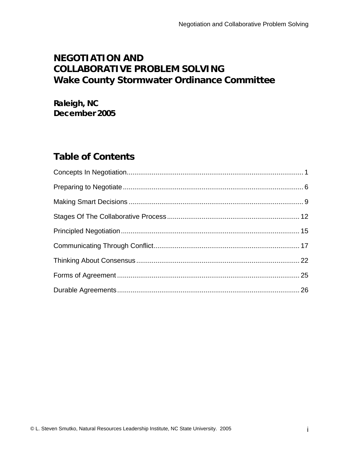# **NEGOTIATION AND COLLABORATIVE PROBLEM SOLVING Wake County Stormwater Ordinance Committee**

**Raleigh, NC December 2005** 

# **Table of Contents**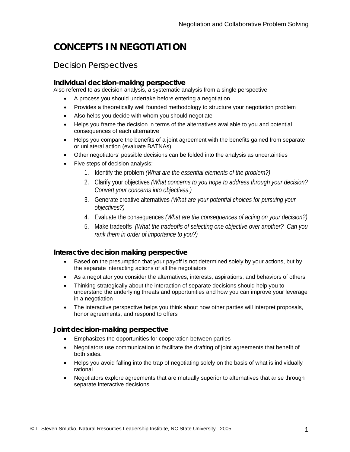# **CONCEPTS IN NEGOTIATION**

#### Decision Perspectives

#### **Individual decision-making perspective**

Also referred to as decision analysis, a systematic analysis from a single perspective

- A process you should undertake before entering a negotiation
- Provides a theoretically well founded methodology to structure your negotiation problem
- Also helps you decide with whom you should negotiate
- Helps you frame the decision in terms of the alternatives available to you and potential consequences of each alternative
- Helps you compare the benefits of a joint agreement with the benefits gained from separate or unilateral action (evaluate BATNAs)
- Other negotiators' possible decisions can be folded into the analysis as uncertainties
- Five steps of decision analysis:
	- 1. Identify the problem *(What are the essential elements of the problem?)*
	- 2. Clarify your objectives *(What concerns to you hope to address through your decision? Convert your concerns into objectives.)*
	- 3. Generate creative alternatives *(What are your potential choices for pursuing your objectives?)*
	- 4. Evaluate the consequences *(What are the consequences of acting on your decision?)*
	- 5. Make tradeoffs *(What the tradeoffs of selecting one objective over another? Can you rank them in order of importance to you?)*

#### **Interactive decision making perspective**

- Based on the presumption that your payoff is not determined solely by your actions, but by the separate interacting actions of all the negotiators
- As a negotiator you consider the alternatives, interests, aspirations, and behaviors of others
- Thinking strategically about the interaction of separate decisions should help you to understand the underlying threats and opportunities and how you can improve your leverage in a negotiation
- The interactive perspective helps you think about how other parties will interpret proposals, honor agreements, and respond to offers

#### **Joint decision-making perspective**

- Emphasizes the opportunities for cooperation between parties
- Negotiators use communication to facilitate the drafting of joint agreements that benefit of both sides.
- Helps you avoid falling into the trap of negotiating solely on the basis of what is individually rational
- Negotiators explore agreements that are mutually superior to alternatives that arise through separate interactive decisions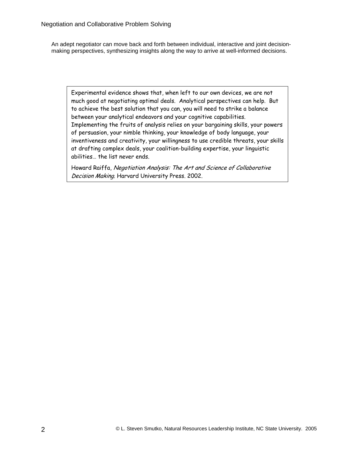An adept negotiator can move back and forth between individual, interactive and joint decisionmaking perspectives, synthesizing insights along the way to arrive at well-informed decisions.

Experimental evidence shows that, when left to our own devices, we are not much good at negotiating optimal deals. Analytical perspectives can help. But to achieve the best solution that you can, you will need to strike a balance between your analytical endeavors and your cognitive capabilities. Implementing the fruits of analysis relies on your bargaining skills, your powers of persuasion, your nimble thinking, your knowledge of body language, your inventiveness and creativity, your willingness to use credible threats, your skills at drafting complex deals, your coalition-building expertise, your linguistic abilities… the list never ends.

Howard Raiffa, Negotiation Analysis: The Art and Science of Collaborative Decision Making. Harvard University Press. 2002.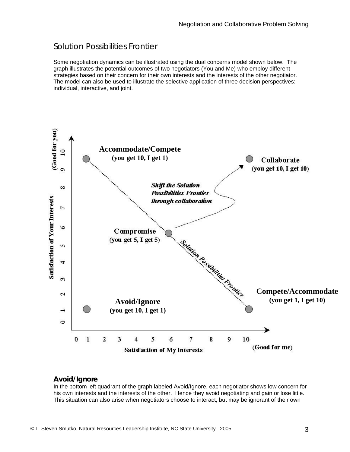#### Solution Possibilities Frontier

Some negotiation dynamics can be illustrated using the dual concerns model shown below. The graph illustrates the potential outcomes of two negotiators (You and Me) who employ different strategies based on their concern for their own interests and the interests of the other negotiator. The model can also be used to illustrate the selective application of three decision perspectives: individual, interactive, and joint.



#### **Avoid/Ignore**

In the bottom left quadrant of the graph labeled Avoid/Ignore, each negotiator shows low concern for his own interests and the interests of the other. Hence they avoid negotiating and gain or lose little. This situation can also arise when negotiators choose to interact, but may be ignorant of their own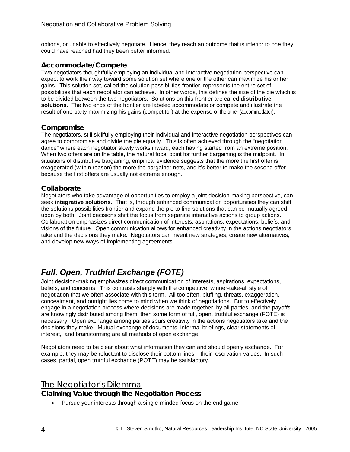options, or unable to effectively negotiate. Hence, they reach an outcome that is inferior to one they could have reached had they been better informed.

#### **Accommodate/Compete**

Two negotiators thoughtfully employing an individual and interactive negotiation perspective can expect to work their way toward some solution set where one or the other can maximize his or her gains. This solution set, called the solution possibilities frontier, represents the entire set of possibilities that each negotiator can achieve. In other words, this defines the size of the pie which is to be divided between the two negotiators. Solutions on this frontier are called **distributive solutions**. The two ends of the frontier are labeled accommodate or compete and illustrate the result of one party maximizing his gains (competitor) at the expense of the other (accommodator).

#### **Compromise**

The negotiators, still skillfully employing their individual and interactive negotiation perspectives can agree to compromise and divide the pie equally. This is often achieved through the "negotiation dance" where each negotiator slowly works inward, each having started from an extreme position. When two offers are on the table, the natural focal point for further bargaining is the midpoint. In situations of distributive bargaining, empirical evidence suggests that the more the first offer is exaggerated (within reason) the more the bargainer nets, and it's better to make the second offer because the first offers are usually not extreme enough.

#### **Collaborate**

Negotiators who take advantage of opportunities to employ a joint decision-making perspective, can seek **integrative solutions**. That is, through enhanced communication opportunities they can shift the solutions possibilities frontier and expand the pie to find solutions that can be mutually agreed upon by both. Joint decisions shift the focus from separate interactive actions to group actions. Collaboration emphasizes direct communication of interests, aspirations, expectations, beliefs, and visions of the future. Open communication allows for enhanced creativity in the actions negotiators take and the decisions they make. Negotiators can invent new strategies, create new alternatives, and develop new ways of implementing agreements.

# *Full, Open, Truthful Exchange (FOTE)*

Joint decision-making emphasizes direct communication of interests, aspirations, expectations, beliefs, and concerns. This contrasts sharply with the competitive, winner-take-all style of negotiation that we often associate with this term. All too often, bluffing, threats, exaggeration, concealment, and outright lies come to mind when we think of negotiations. But to effectively engage in a negotiation process where decisions are made together, by all parties, and the payoffs are knowingly distributed among them, then some form of full, open, truthful exchange (FOTE) is necessary. Open exchange among parties spurs creativity in the actions negotiators take and the decisions they make. Mutual exchange of documents, informal briefings, clear statements of interest, and brainstorming are all methods of open exchange.

Negotiators need to be clear about what information they can and should openly exchange. For example, they may be reluctant to disclose their bottom lines – their reservation values. In such cases, partial, open truthful exchange (POTE) may be satisfactory.

#### The Negotiator's Dilemma

#### **Claiming Value through the Negotiation Process**

• Pursue your interests through a single-minded focus on the end game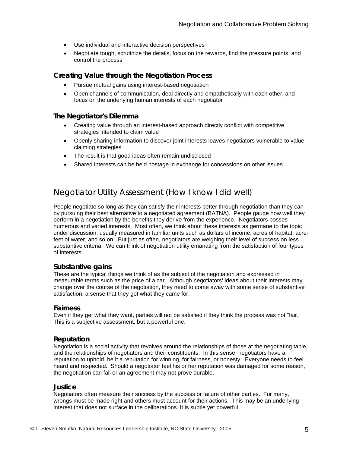- Use individual and interactive decision perspectives
- Negotiate tough, scrutinize the details, focus on the rewards, find the pressure points, and control the process

#### **Creating Value through the Negotiation Process**

- Pursue mutual gains using interest-based negotiation
- Open channels of communication, deal directly and empathetically with each other, and focus on the underlying human interests of each negotiator

#### **The Negotiator's Dilemma**

- Creating value through an interest-based approach directly conflict with competitive strategies intended to claim value
- Openly sharing information to discover joint interests leaves negotiators vulnerable to valueclaiming strategies
- The result is that good ideas often remain undisclosed
- Shared interests can be held hostage in exchange for concessions on other issues

#### Negotiator Utility Assessment (How I know I did well)

People negotiate so long as they can satisfy their interests better through negotiation than they can by pursuing their best alternative to a negotiated agreement (BATNA). People gauge how well they perform in a negotiation by the benefits they derive from the experience. Negotiators posses numerous and varied interests. Most often, we think about these interests as germane to the topic under discussion, usually measured in familiar units such as dollars of income, acres of habitat, acrefeet of water, and so on. But just as often, negotiators are weighing their level of success on less substantive criteria. We can think of negotiation utility emanating from the satisfaction of four types of interests.

#### **Substantive gains**

These are the typical things we think of as the subject of the negotiation and expressed in measurable terms such as the price of a car. Although negotiators' ideas about their interests may change over the course of the negotiation, they need to come away with some sense of substantive satisfaction; a sense that they got what they came for.

#### **Fairness**

Even if they get what they want, parties will not be satisfied if they think the process was not "fair." This is a subjective assessment, but a powerful one.

#### **Reputation**

Negotiation is a social activity that revolves around the relationships of those at the negotiating table, and the relationships of negotiators and their constituents. In this sense, negotiators have a reputation to uphold, be it a reputation for winning, for fairness, or honesty. Everyone needs to feel heard and respected. Should a negotiator feel his or her reputation was damaged for some reason, the negotiation can fail or an agreement may not prove durable.

#### **Justice**

Negotiators often measure their success by the success or failure of other parties. For many, wrongs must be made right and others must account for their actions. This may be an underlying interest that does not surface in the deliberations. It is subtle yet powerful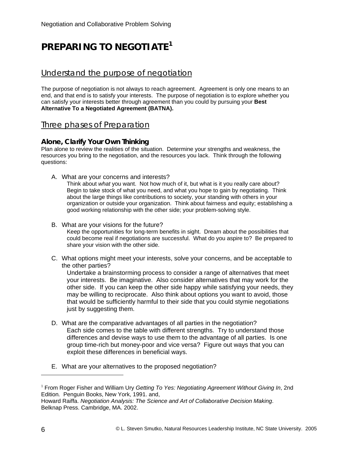# **PREPARING TO NEGOTIATE1**

#### Understand the purpose of negotiation

The purpose of negotiation is not always to reach agreement. Agreement is only one means to an end, and that end is to satisfy your interests. The purpose of negotiation is to explore whether you can satisfy your interests better through agreement than you could by pursuing your **Best Alternative To a Negotiated Agreement (BATNA).** 

#### Three phases of Preparation

#### **Alone, Clarify Your Own Thinking**

Plan alone to review the realities of the situation. Determine your strengths and weakness, the resources you bring to the negotiation, and the resources you lack. Think through the following questions:

A. What are your concerns and interests?

Think about *what* you want. Not how much of it, but what is it you really care about? Begin to take stock of what you need, and what you hope to gain by negotiating. Think about the large things like contributions to society, your standing with others in your organization or outside your organization. Think about fairness and equity; establishing a good working relationship with the other side; your problem-solving style.

- B. What are your visions for the future? Keep the opportunities for long-term benefits in sight. Dream about the possibilities that could become real if negotiations are successful. What do you aspire to? Be prepared to share your vision with the other side.
- C. What options might meet your interests, solve your concerns, and be acceptable to the other parties?

Undertake a brainstorming process to consider a range of alternatives that meet your interests. Be imaginative. Also consider alternatives that may work for the other side. If you can keep the other side happy while satisfying your needs, they may be willing to reciprocate. Also think about options you want to avoid, those that would be sufficiently harmful to their side that you could stymie negotiations just by suggesting them.

- D. What are the comparative advantages of all parties in the negotiation? Each side comes to the table with different strengths. Try to understand those differences and devise ways to use them to the advantage of all parties. Is one group time-rich but money-poor and vice versa? Figure out ways that you can exploit these differences in beneficial ways.
- E. What are your alternatives to the proposed negotiation?

 $\overline{a}$ 

<sup>&</sup>lt;sup>1</sup> From Roger Fisher and William Ury *Getting To Yes: Negotiating Agreement Without Giving In, 2nd* Edition*.* Penguin Books, New York, 1991. and,

Howard Raiffa. *Negotiation Analysis: The Science and Art of Collaborative Decision Making*. Belknap Press. Cambridge, MA. 2002.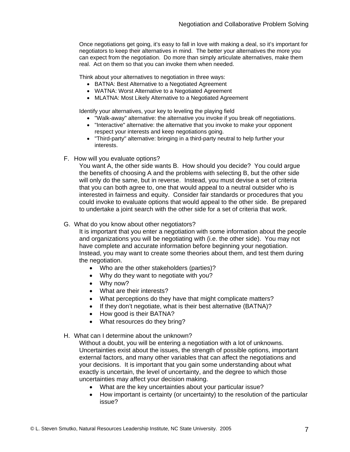Once negotiations get going, it's easy to fall in love with making a deal, so it's important for negotiators to keep their alternatives in mind. The better your alternatives the more you can expect from the negotiation. Do more than simply articulate alternatives, make them real. Act on them so that you can invoke them when needed.

Think about your alternatives to negotiation in three ways:

- BATNA: Best Alternative to a Negotiated Agreement
- WATNA: Worst Alternative to a Negotiated Agreement
- MLATNA: Most Likely Alternative to a Negotiated Agreement

Identify your alternatives, your key to leveling the playing field

- "Walk-away" alternative: the alternative you invoke if you break off negotiations.
- "Interactive" alternative: the alternative that you invoke to make your opponent respect your interests and keep negotiations going.
- "Third-party" alternative: bringing in a third-party neutral to help further your interests.
- F. How will you evaluate options?

You want A, the other side wants B. How should you decide? You could argue the benefits of choosing A and the problems with selecting B, but the other side will only do the same, but in reverse. Instead, you must devise a set of criteria that you can both agree to, one that would appeal to a neutral outsider who is interested in fairness and equity. Consider fair standards or procedures that you could invoke to evaluate options that would appeal to the other side. Be prepared to undertake a joint search with the other side for a set of criteria that work.

G. What do you know about other negotiators?

It is important that you enter a negotiation with some information about the people and organizations you will be negotiating with (i.e. the other side). You may not have complete and accurate information before beginning your negotiation. Instead, you may want to create some theories about them, and test them during the negotiation.

- Who are the other stakeholders (parties)?
- Why do they want to negotiate with you?
- Why now?
- What are their interests?
- What perceptions do they have that might complicate matters?
- If they don't negotiate, what is their best alternative (BATNA)?
- How good is their BATNA?
- What resources do they bring?
- H. What can I determine about the unknown?

Without a doubt, you will be entering a negotiation with a lot of unknowns. Uncertainties exist about the issues, the strength of possible options, important external factors, and many other variables that can affect the negotiations and your decisions. It is important that you gain some understanding about what exactly is uncertain, the level of uncertainty, and the degree to which those uncertainties may affect your decision making.

- What are the key uncertainties about your particular issue?
- How important is certainty (or uncertainty) to the resolution of the particular issue?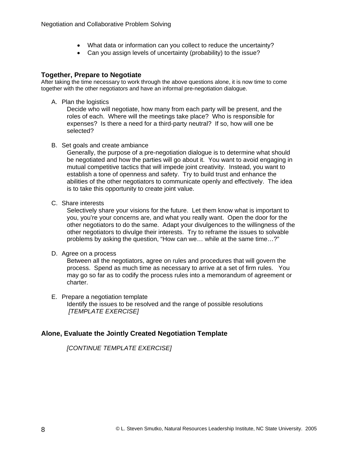- What data or information can you collect to reduce the uncertainty?
- Can you assign levels of uncertainty (probability) to the issue?

#### **Together, Prepare to Negotiate**

After taking the time necessary to work through the above questions alone, it is now time to come together with the other negotiators and have an informal pre-negotiation dialogue.

A. Plan the logistics

Decide who will negotiate, how many from each party will be present, and the roles of each. Where will the meetings take place? Who is responsible for expenses? Is there a need for a third-party neutral? If so, how will one be selected?

B. Set goals and create ambiance

Generally, the purpose of a pre-negotiation dialogue is to determine what should be negotiated and how the parties will go about it. You want to avoid engaging in mutual competitive tactics that will impede joint creativity. Instead, you want to establish a tone of openness and safety. Try to build trust and enhance the abilities of the other negotiators to communicate openly and effectively. The idea is to take this opportunity to create joint value.

C. Share interests

Selectively share your visions for the future. Let them know what is important to you, you're your concerns are, and what you really want. Open the door for the other negotiators to do the same. Adapt your divulgences to the willingness of the other negotiators to divulge their interests. Try to reframe the issues to solvable problems by asking the question, "How can we… while at the same time…?"

D. Agree on a process

Between all the negotiators, agree on rules and procedures that will govern the process. Spend as much time as necessary to arrive at a set of firm rules. You may go so far as to codify the process rules into a memorandum of agreement or charter.

E. Prepare a negotiation template Identify the issues to be resolved and the range of possible resolutions *[TEMPLATE EXERCISE]*

#### **Alone, Evaluate the Jointly Created Negotiation Template**

*[CONTINUE TEMPLATE EXERCISE]*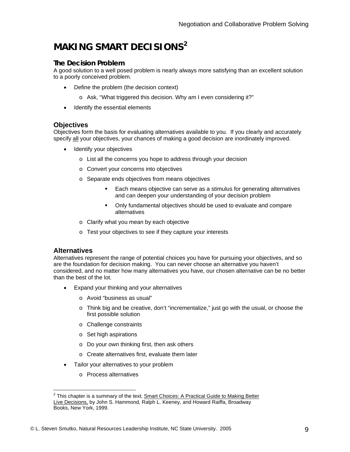# **MAKING SMART DECISIONS2**

#### **The Decision Problem**

A good solution to a well posed problem is nearly always more satisfying than an excellent solution to a poorly conceived problem.

- Define the problem (the decision context)
	- o Ask, "What triggered this decision. Why am I even considering it?"
- Identify the essential elements

#### **Objectives**

Objectives form the basis for evaluating alternatives available to you. If you clearly and accurately specify all your objectives, your chances of making a good decision are inordinately improved.

- Identify your objectives
	- o List all the concerns you hope to address through your decision
	- o Convert your concerns into objectives
	- o Separate ends objectives from means objectives
		- Each means objective can serve as a stimulus for generating alternatives and can deepen your understanding of your decision problem
		- Only fundamental objectives should be used to evaluate and compare alternatives
	- o Clarify what you mean by each objective
	- o Test your objectives to see if they capture your interests

#### **Alternatives**

Alternatives represent the range of potential choices you have for pursuing your objectives, and so are the foundation for decision making. You can never choose an alternative you haven't considered, and no matter how many alternatives you have, our chosen alternative can be no better than the best of the lot.

- Expand your thinking and your alternatives
	- o Avoid "business as usual"
	- o Think big and be creative, don't "incrementalize," just go with the usual, or choose the first possible solution
	- o Challenge constraints
	- o Set high aspirations
	- o Do your own thinking first, then ask others
	- o Create alternatives first, evaluate them later
- Tailor your alternatives to your problem
	- o Process alternatives

<sup>&</sup>lt;u>2</u><br>This chapter is a summary of the text, <u>Smart Choices: A Practical Guide to Making Better</u> Live Decisions, by John S. Hammond, Ralph L. Keeney, and Howard Raiffa, Broadway Books, New York, 1999.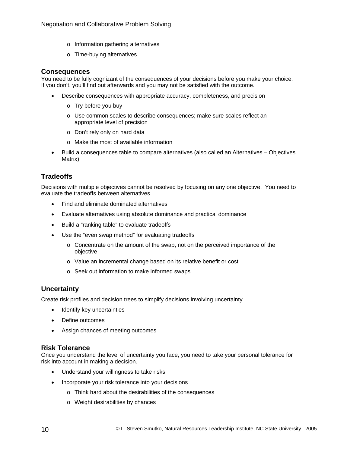- o Information gathering alternatives
- o Time-buying alternatives

#### **Consequences**

You need to be fully cognizant of the consequences of your decisions before you make your choice. If you don't, you'll find out afterwards and you may not be satisfied with the outcome.

- Describe consequences with appropriate accuracy, completeness, and precision
	- o Try before you buy
	- o Use common scales to describe consequences; make sure scales reflect an appropriate level of precision
	- o Don't rely only on hard data
	- o Make the most of available information
- Build a consequences table to compare alternatives (also called an Alternatives Objectives Matrix)

#### **Tradeoffs**

Decisions with multiple objectives cannot be resolved by focusing on any one objective. You need to evaluate the tradeoffs between alternatives

- Find and eliminate dominated alternatives
- Evaluate alternatives using absolute dominance and practical dominance
- Build a "ranking table" to evaluate tradeoffs
- Use the "even swap method" for evaluating tradeoffs
	- o Concentrate on the amount of the swap, not on the perceived importance of the objective
	- o Value an incremental change based on its relative benefit or cost
	- o Seek out information to make informed swaps

#### **Uncertainty**

Create risk profiles and decision trees to simplify decisions involving uncertainty

- Identify key uncertainties
- Define outcomes
- Assign chances of meeting outcomes

#### **Risk Tolerance**

Once you understand the level of uncertainty you face, you need to take your personal tolerance for risk into account in making a decision.

- Understand your willingness to take risks
- Incorporate your risk tolerance into your decisions
	- o Think hard about the desirabilities of the consequences
	- o Weight desirabilities by chances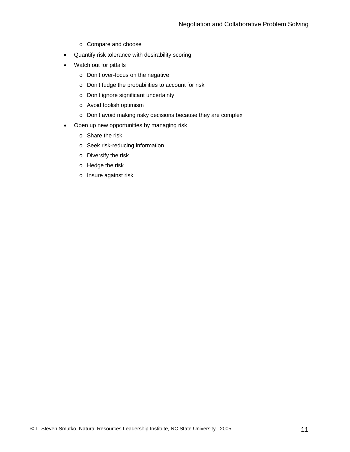- o Compare and choose
- Quantify risk tolerance with desirability scoring
- Watch out for pitfalls
	- o Don't over-focus on the negative
	- o Don't fudge the probabilities to account for risk
	- o Don't ignore significant uncertainty
	- o Avoid foolish optimism
	- o Don't avoid making risky decisions because they are complex
- Open up new opportunities by managing risk
	- o Share the risk
	- o Seek risk-reducing information
	- o Diversify the risk
	- o Hedge the risk
	- o Insure against risk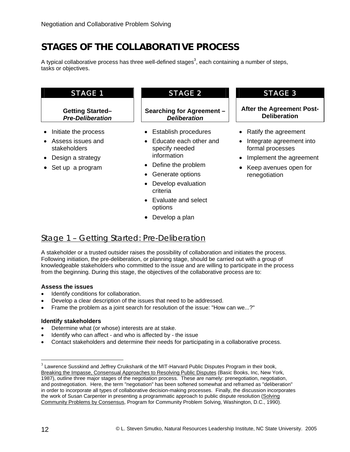# **STAGES OF THE COLLABORATIVE PROCESS**

A typical collaborative process has three well-defined stages<sup>3</sup>, each containing a number of steps, tasks or objectives.

#### **Getting Started–**  *Pre-Deliberation*

- Initiate the process
- Assess issues and stakeholders
- Design a strategy
- Set up a program

#### **Searching for Agreement –**  *Deliberation*

- Establish procedures
- Educate each other and specify needed information
- Define the problem
- Generate options
- Develop evaluation criteria
- Evaluate and select options
- Develop a plan

#### STAGE 1 STAGE 2 STAGE 3

#### **After the Agreemen**t **Post-Deliberation**

- Ratify the agreement
- Integrate agreement into formal processes
- Implement the agreement
- Keep avenues open for renegotiation

## Stage 1 – Getting Started: *Pre-Deliberation*

A stakeholder or a trusted outsider raises the possibility of collaboration and initiates the process. Following initiation, the pre-deliberation, or planning stage, should be carried out with a group of knowledgeable stakeholders who committed to the issue and are willing to participate in the process from the beginning. During this stage, the objectives of the collaborative process are to:

#### **Assess the issues**

- Identify conditions for collaboration.
- Develop a clear description of the issues that need to be addressed.
- Frame the problem as a joint search for resolution of the issue: "How can we...?"

#### **Identify stakeholders**

- Determine what (or whose) interests are at stake.
- Identify who can affect and who is affected by the issue
- Contact stakeholders and determine their needs for participating in a collaborative process.

 $\overline{a}$ 

 $3$  Lawrence Susskind and Jeffrey Cruikshank of the MIT-Harvard Public Disputes Program in their book, Breaking the Impasse, Consensual Approaches to Resolving Public Disputes (Basic Books, Inc, New York, 1987), outline three major stages of the negotiation process. These are namely: prenegotiation, negotiation, and postnegotiation. Here, the term "negotiation" has been softened somewhat and reframed as "deliberation" in order to incorporate all types of collaborative decision-making processes. Finally, the discussion incorporates the work of Susan Carpenter in presenting a programmatic approach to public dispute resolution (Solving Community Problems by Consensus, Program for Community Problem Solving, Washington, D.C., 1990).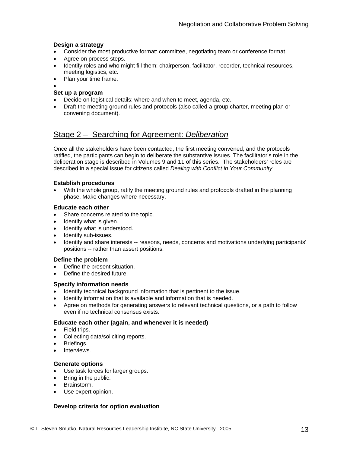#### **Design a strategy**

- Consider the most productive format: committee, negotiating team or conference format.
- Agree on process steps.
- Identify roles and who might fill them: chairperson, facilitator, recorder, technical resources, meeting logistics, etc.
- Plan your time frame.
- •

#### **Set up a program**

- Decide on logistical details: where and when to meet, agenda, etc.
- Draft the meeting ground rules and protocols (also called a group charter, meeting plan or convening document).

#### Stage 2 – Searching for Agreement: *Deliberation*

Once all the stakeholders have been contacted, the first meeting convened, and the protocols ratified, the participants can begin to deliberate the substantive issues. The facilitator's role in the deliberation stage is described in Volumes 9 and 11 of this series. The stakeholders' roles are described in a special issue for citizens called *Dealing with Conflict in Your Community*.

#### **Establish procedures**

• With the whole group, ratify the meeting ground rules and protocols drafted in the planning phase. Make changes where necessary.

#### **Educate each other**

- Share concerns related to the topic.
- Identify what is given.
- Identify what is understood.
- Identify sub-issues.
- Identify and share interests -- reasons, needs, concerns and motivations underlying participants' positions -- rather than assert positions.

#### **Define the problem**

- Define the present situation.
- Define the desired future.

#### **Specify information needs**

- Identify technical background information that is pertinent to the issue.
- Identify information that is available and information that is needed.
- Agree on methods for generating answers to relevant technical questions, or a path to follow even if no technical consensus exists.

#### **Educate each other (again, and whenever it is needed)**

- Field trips.
- Collecting data/soliciting reports.
- Briefings.
- Interviews.

#### **Generate options**

- Use task forces for larger groups.
- Bring in the public.
- Brainstorm.
- Use expert opinion.

#### **Develop criteria for option evaluation**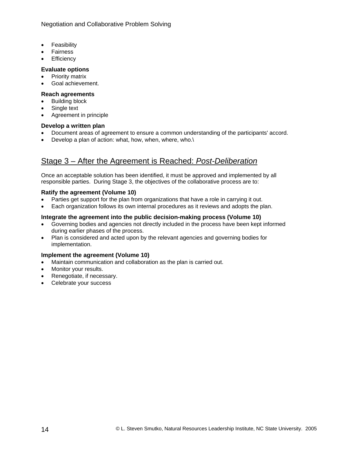Negotiation and Collaborative Problem Solving

- Feasibility
- Fairness
- **Efficiency**

#### **Evaluate options**

- Priority matrix
- Goal achievement.

#### **Reach agreements**

- **Building block**
- Single text
- Agreement in principle

#### **Develop a written plan**

- Document areas of agreement to ensure a common understanding of the participants' accord.
- Develop a plan of action: what, how, when, where, who.\

## Stage 3 – After the Agreement is Reached: *Post-Deliberation*

Once an acceptable solution has been identified, it must be approved and implemented by all responsible parties. During Stage 3, the objectives of the collaborative process are to:

#### **Ratify the agreement (Volume 10)**

- Parties get support for the plan from organizations that have a role in carrying it out.
- Each organization follows its own internal procedures as it reviews and adopts the plan.

#### **Integrate the agreement into the public decision-making process (Volume 10)**

- Governing bodies and agencies not directly included in the process have been kept informed during earlier phases of the process.
- Plan is considered and acted upon by the relevant agencies and governing bodies for implementation.

#### **Implement the agreement (Volume 10)**

- Maintain communication and collaboration as the plan is carried out.
- Monitor your results.
- Renegotiate, if necessary.
- Celebrate your success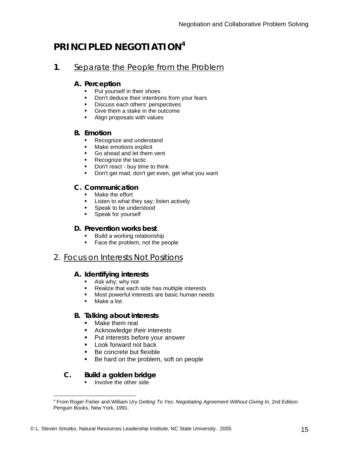# **PRINCIPLED NEGOTIATION<sup>4</sup>**

#### **1**. Separate the People from the Problem

#### **A. Perception**

- Put yourself in their shoes
- Don't deduce their intentions from your fears
- **Discuss each others' perspectives**
- **Give them a stake in the outcome**
- Align proposals with values

#### **B. Emotion**

- Recognize and understand
- **Make emotions explicit**
- Go ahead and let them vent
- Recognize the tactic
- **•** Don't react buy time to think
- Don't get mad, don't get even, get what you want

#### **C. Communication**

- **Nake the effort**
- **Listen to what they say; listen actively**
- **Speak to be understood**
- Speak for yourself

#### **D. Prevention works best**

- **Build a working relationship**
- Face the problem, not the people

#### 2. Focus on Interests Not Positions

#### **A. Identifying interests**

- **Ask why; why not**
- Realize that each side has multiple interests
- **Most powerful interests are basic human needs**
- **Make a list**

#### **B. Talking about interests**

- Make them real
- **Acknowledge their interests**
- **Put interests before your answer**
- **Look forward not back**
- Be concrete but flexible
- Be hard on the problem, soft on people

#### **C. Build a golden bridge**

 $\blacksquare$  Involve the other side

 4 From Roger Fisher and William Ury *Getting To Yes: Negotiating Agreement Without Giving In*, 2nd Edition*.*  Penguin Books, New York, 1991.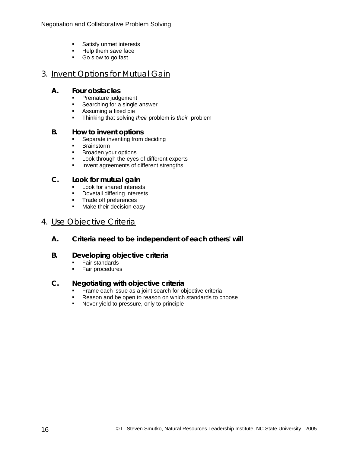- **Satisfy unmet interests**
- **Help them save face**
- Go slow to go fast

#### 3. Invent Options for Mutual Gain

#### **A. Four obstacles**

- **Premature judgement**<br>**Premature in Searching for a single**
- Searching for a single answer<br>Assuming a fixed pie
- Assuming a fixed pie
- Thinking that solving *their* problem is *their* problem

#### **B. How to invent options**

- Separate inventing from deciding<br>Brainstorm
- **Brainstorm**
- **Broaden your options**
- Look through the eyes of different experts<br>■ lnvent agreements of different strengths
- Invent agreements of different strengths

#### **C. Look for mutual gain**

- **Look for shared interests**<br>**Dovetail differing interests**
- Dovetail differing interests
- **Trade off preferences**
- **Make their decision easy**

#### 4. Use Objective Criteria

 **A. Criteria need to be independent of each others' will**

#### **B. Developing objective criteria**

- Fair standards
- **Fair procedures**

#### **C. Negotiating with objective criteria**

- Frame each issue as a joint search for objective criteria
- Reason and be open to reason on which standards to choose
- **Never yield to pressure, only to principle**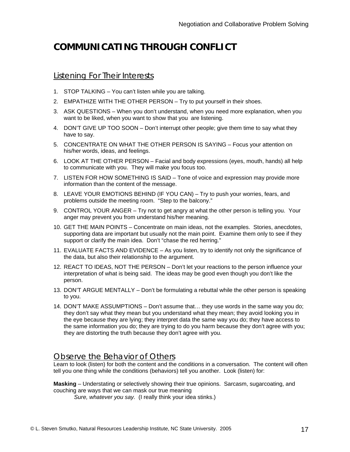# **COMMUNICATING THROUGH CONFLICT**

#### Listening For Their Interests

- 1. STOP TALKING You can't listen while you are talking.
- 2. EMPATHIZE WITH THE OTHER PERSON Try to put yourself in their shoes.
- 3. ASK QUESTIONS When you don't understand, when you need more explanation, when you want to be liked, when you want to show that you are listening.
- 4. DON'T GIVE UP TOO SOON Don't interrupt other people; give them time to say what they have to say.
- 5. CONCENTRATE ON WHAT THE OTHER PERSON IS SAYING Focus your attention on his/her words, ideas, and feelings.
- 6. LOOK AT THE OTHER PERSON Facial and body expressions (eyes, mouth, hands) all help to communicate with you. They will make you focus too.
- 7. LISTEN FOR HOW SOMETHING IS SAID Tone of voice and expression may provide more information than the content of the message.
- 8. LEAVE YOUR EMOTIONS BEHIND (IF YOU CAN) Try to push your worries, fears, and problems outside the meeting room. "Step to the balcony."
- 9. CONTROL YOUR ANGER Try not to get angry at what the other person is telling you. Your anger may prevent you from understand his/her meaning.
- 10. GET THE MAIN POINTS Concentrate on main ideas, not the examples. Stories, anecdotes, supporting data are important but usually not the main point. Examine them only to see if they support or clarify the main idea. Don't "chase the red herring."
- 11. EVALUATE FACTS AND EVIDENCE As you listen, try to identify not only the significance of the data, but also their relationship to the argument.
- 12. REACT TO IDEAS, NOT THE PERSON Don't let your reactions to the person influence your interpretation of what is being said. The ideas may be good even though you don't like the person.
- 13. DON'T ARGUE MENTALLY Don't be formulating a rebuttal while the other person is speaking to you.
- 14. DON'T MAKE ASSUMPTIONS Don't assume that… they use words in the same way you do; they don't say what they mean but you understand what they mean; they avoid looking you in the eye because they are lying; they interpret data the same way you do; they have access to the same information you do; they are trying to do you harm because they don't agree with you; they are distorting the truth because they don't agree with you.

#### Observe the Behavior of Others

Learn to look (listen) for both the content and the conditions in a conversation. The content will often tell you one thing while the conditions (behaviors) tell you another. Look (listen) for:

**Masking** – Understating or selectively showing their true opinions. Sarcasm, sugarcoating, and couching are ways that we can mask our true meaning

*Sure, whatever you say.* (I really think your idea stinks.)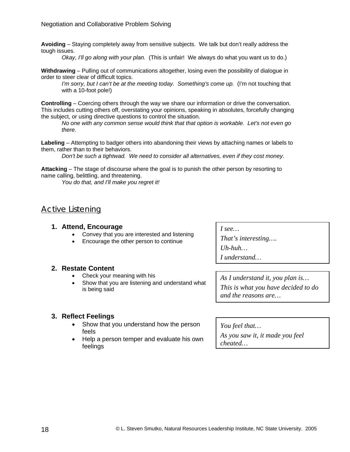**Avoiding** – Staying completely away from sensitive subjects. We talk but don't really address the tough issues.

*Okay, I'll go along with your plan.* (This is unfair! We always do what you want us to do.)

**Withdrawing** – Pulling out of communications altogether, losing even the possibility of dialogue in order to steer clear of difficult topics.

*I'm sorry, but I can't be at the meeting today. Something's come up.* (I'm not touching that with a 10-foot pole!)

**Controlling** – Coercing others through the way we share our information or drive the conversation. This includes cutting others off, overstating your opinions, speaking in absolutes, forcefully changing the subject, or using directive questions to control the situation.

*No one with any common sense would think that that option is workable. Let's not even go there.* 

**Labeling** – Attempting to badger others into abandoning their views by attaching names or labels to them, rather than to their behaviors.

*Don't be such a tightwad. We need to consider all alternatives, even if they cost money.* 

**Attacking** – The stage of discourse where the goal is to punish the other person by resorting to name calling, belittling, and threatening.

*You do that, and I'll make you regret it!* 

#### Active Listening

#### **1. Attend, Encourage**

- Convey that you are interested and listening
- Encourage the other person to continue

#### **2. Restate Content**

- Check your meaning with his
- Show that you are listening and understand what is being said

#### **3. Reflect Feelings**

- Show that you understand how the person feels
- Help a person temper and evaluate his own feelings

*I see…* 

*That's interesting…. Uh-huh… I understand…* 

*As I understand it, you plan is… This is what you have decided to do and the reasons are…* 

*You feel that…* 

*As you saw it, it made you feel cheated…*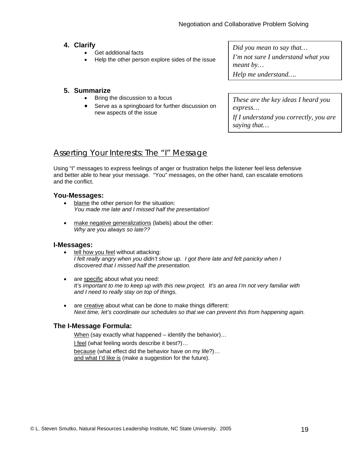#### **4. Clarify**

- Get additional facts
- Help the other person explore sides of the issue

*Did you mean to say that… I'm not sure I understand what you meant by… Help me understand….*

#### **5. Summarize**

- Bring the discussion to a focus
- Serve as a springboard for further discussion on new aspects of the issue

*These are the key ideas I heard you express…* 

*If I understand you correctly, you are saying that…* 

#### Asserting Your Interests: The "I" Message

Using "I" messages to express feelings of anger or frustration helps the listener feel less defensive and better able to hear your message. "You" messages, on the other hand, can escalate emotions and the conflict.

#### **You-Messages:**

- blame the other person for the situation: *You made me late and I missed half the presentation!*
- make negative generalizations (labels) about the other: *Why are you always so late??*

#### **I-Messages:**

- tell how you feel without attacking: *I felt really angry when you didn't show up. I got there late and felt panicky when I discovered that I missed half the presentation.*
- are specific about what you need: *It's important to me to keep up with this new project. It's an area I'm not very familiar with and I need to really stay on top of things.*
- are creative about what can be done to make things different: *Next time, let's coordinate our schedules so that we can prevent this from happening again.*

#### **The I-Message Formula:**

When (say exactly what happened – identify the behavior)... I feel (what feeling words describe it best?)… because (what effect did the behavior have on my life?)… and what I'd like is (make a suggestion for the future).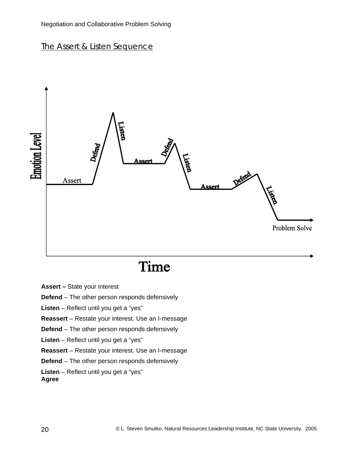#### Negotiation and Collaborative Problem Solving

#### The Assert & Listen Sequence



# Time

**Assert –** State your interest

**Defend** – The other person responds defensively

**Listen** – Reflect until you get a "yes"

**Reassert** – Restate your interest. Use an I-message

**Defend** – The other person responds defensively

**Listen** – Reflect until you get a "yes"

**Reassert** – Restate your interest. Use an I-message

**Defend** – The other person responds defensively

**Listen** – Reflect until you get a "yes"

**Agree**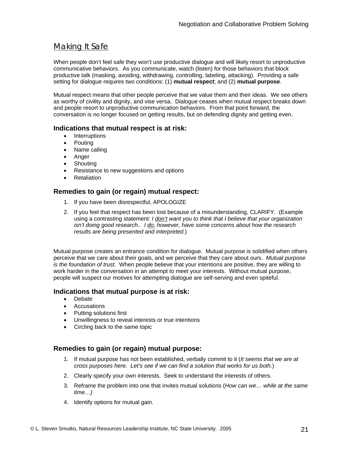## Making It Safe

When people don't feel safe they won't use productive dialogue and will likely resort to unproductive communicative behaviors. As you communicate, watch (listen) for those behaviors that block productive talk (masking, avoiding, withdrawing, controlling, labeling, attacking). Providing a safe setting for dialogue requires two conditions: (1) **mutual respect**; and (2) **mutual purpose**.

Mutual respect means that other people perceive that we value them and their ideas. We see others as worthy of civility and dignity, and vise versa. Dialogue ceases when mutual respect breaks down and people resort to unproductive communication behaviors. From that point forward, the conversation is no longer focused on getting results, but on defending dignity and getting even.

#### **Indications that mutual respect is at risk:**

- Interruptions
- **Pouting**
- Name calling
- Anger
- Shouting
- Resistance to new suggestions and options
- **Retaliation**

#### **Remedies to gain (or regain) mutual respect:**

- 1. If you have been disrespectful, APOLOGIZE
- 2. If you feel that respect has been lost because of a misunderstanding, CLARIFY. (Example using a contrasting statement: *I don't want you to think that I believe that your organization isn't doing good research.. I do, however, have some concerns about how the research results are being presented and interpreted.*)

Mutual purpose creates an entrance condition for dialogue. Mutual purpose is solidified when others perceive that we care about their goals, and we perceive that they care about ours. *Mutual purpose is the foundation of trust.* When people believe that your intentions are positive, they are willing to work harder in the conversation in an attempt to meet your interests. Without mutual purpose, people will suspect our motives for attempting dialogue are self-serving and even spiteful.

#### **Indications that mutual purpose is at risk:**

- Debate
- Accusations
- Putting solutions first
- Unwillingness to reveal interests or true intentions
- Circling back to the same topic

#### **Remedies to gain (or regain) mutual purpose:**

- 1. If mutual purpose has not been established, verbally commit to it (*It seems that we are at cross purposes here. Let's see if we can find a solution that works for us both.*)
- 2. Clearly specify your own interests. Seek to understand the interests of others.
- 3. Reframe the problem into one that invites mutual solutions (*How can we… while at the same time…)*
- 4. Identify options for mutual gain.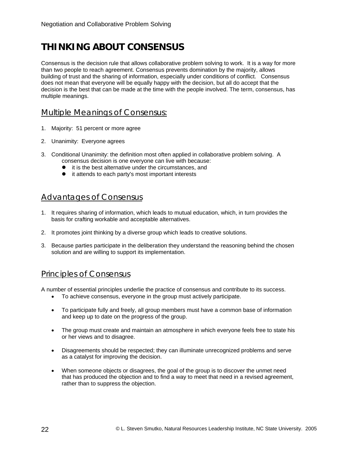# **THINKING ABOUT CONSENSUS**

Consensus is the decision rule that allows collaborative problem solving to work. It is a way for more than two people to reach agreement. Consensus prevents domination by the majority, allows building of trust and the sharing of information, especially under conditions of conflict. Consensus does not mean that everyone will be equally happy with the decision, but all do accept that the decision is the best that can be made at the time with the people involved. The term, consensus, has multiple meanings.

#### Multiple Meanings of Consensus:

- 1. Majority: 51 percent or more agree
- 2. Unanimity: Everyone agrees
- 3. Conditional Unanimity: the definition most often applied in collaborative problem solving. A consensus decision is one everyone can live with because:
	- $\bullet$  it is the best alternative under the circumstances, and
	- $\bullet$  it attends to each party's most important interests

#### Advantages of Consensus

- 1. It requires sharing of information, which leads to mutual education, which, in turn provides the basis for crafting workable and acceptable alternatives.
- 2. It promotes joint thinking by a diverse group which leads to creative solutions.
- 3. Because parties participate in the deliberation they understand the reasoning behind the chosen solution and are willing to support its implementation.

#### Principles of Consensus

A number of essential principles underlie the practice of consensus and contribute to its success.

- To achieve consensus, everyone in the group must actively participate.
- To participate fully and freely, all group members must have a common base of information and keep up to date on the progress of the group.
- The group must create and maintain an atmosphere in which everyone feels free to state his or her views and to disagree.
- Disagreements should be respected; they can illuminate unrecognized problems and serve as a catalyst for improving the decision.
- When someone objects or disagrees, the goal of the group is to discover the unmet need that has produced the objection and to find a way to meet that need in a revised agreement, rather than to suppress the objection.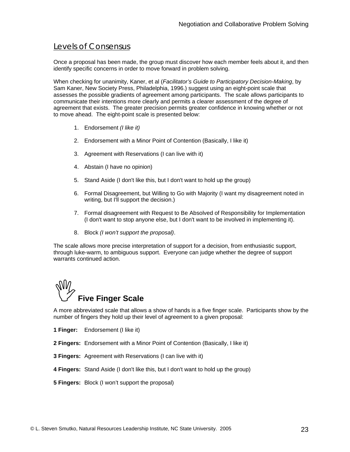#### Levels of Consensus

Once a proposal has been made, the group must discover how each member feels about it, and then identify specific concerns in order to move forward in problem solving.

When checking for unanimity, Kaner, et al (*Facilitator's Guide to Participatory Decision-Making*, by Sam Kaner, New Society Press, Philadelphia, 1996.) suggest using an eight-point scale that assesses the possible gradients of agreement among participants. The scale allows participants to communicate their intentions more clearly and permits a clearer assessment of the degree of agreement that exists. The greater precision permits greater confidence in knowing whether or not to move ahead. The eight-point scale is presented below:

- 1. Endorsement *(I like it)*
- 2. Endorsement with a Minor Point of Contention (Basically, I like it)
- 3. Agreement with Reservations (I can live with it)
- 4. Abstain (I have no opinion)
- 5. Stand Aside (I don't like this, but I don't want to hold up the group)
- 6. Formal Disagreement, but Willing to Go with Majority (I want my disagreement noted in writing, but I'll support the decision.)
- 7. Formal disagreement with Request to Be Absolved of Responsibility for Implementation (I don't want to stop anyone else, but I don't want to be involved in implementing it).
- 8. Block *(I won't support the proposal)*.

The scale allows more precise interpretation of support for a decision, from enthusiastic support, through luke-warm, to ambiguous support. Everyone can judge whether the degree of support warrants continued action.

# ,**Five Finger Scale**

A more abbreviated scale that allows a show of hands is a five finger scale. Participants show by the number of fingers they hold up their level of agreement to a given proposal:

- **1 Finger:** Endorsement (I like it)
- **2 Fingers:** Endorsement with a Minor Point of Contention (Basically, I like it)
- **3 Fingers:** Agreement with Reservations (I can live with it)
- **4 Fingers:** Stand Aside (I don't like this, but I don't want to hold up the group)
- **5 Fingers:** Block (I won't support the proposal)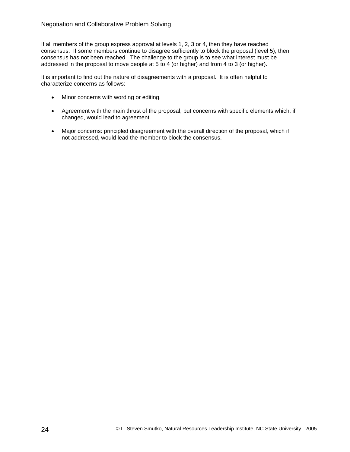If all members of the group express approval at levels 1, 2, 3 or 4, then they have reached consensus. If some members continue to disagree sufficiently to block the proposal (level 5), then consensus has not been reached. The challenge to the group is to see what interest must be addressed in the proposal to move people at 5 to 4 (or higher) and from 4 to 3 (or higher).

It is important to find out the nature of disagreements with a proposal. It is often helpful to characterize concerns as follows:

- Minor concerns with wording or editing.
- Agreement with the main thrust of the proposal, but concerns with specific elements which, if changed, would lead to agreement.
- Major concerns: principled disagreement with the overall direction of the proposal, which if not addressed, would lead the member to block the consensus.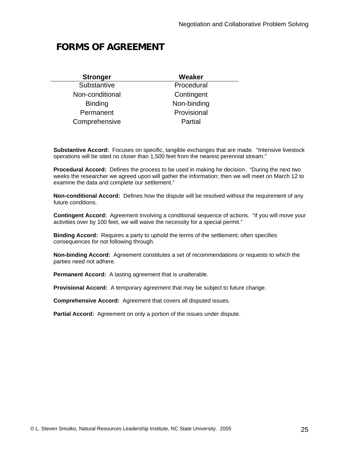# **FORMS OF AGREEMENT**

| <b>Stronger</b> | Weaker      |
|-----------------|-------------|
| Substantive     | Procedural  |
| Non-conditional | Contingent  |
| <b>Binding</b>  | Non-binding |
| Permanent       | Provisional |
| Comprehensive   | Partial     |

**Substantive Accord:** Focuses on specific, tangible exchanges that are made. "Intensive livestock operations will be sited no closer than 1,500 feet from the nearest perennial stream."

**Procedural Accord:** Defines the process to be used in making he decision. "During the next two weeks the researcher we agreed upon will gather the information; then we will meet on March 12 to examine the data and complete our settlement."

**Non-conditional Accord:** Defines how the dispute will be resolved without the requirement of any future conditions.

**Contingent Accord:** Agreement involving a conditional sequence of actions. "if you will move your activities over by 100 feet, we will waive the necessity for a special permit."

**Binding Accord:** Requires a party to uphold the terms of the settlement; often specifies consequences for not following through.

**Non-binding Accord:** Agreement constitutes a set of recommendations or requests to which the parties need not adhere.

**Permanent Accord:** A lasting agreement that is unalterable.

**Provisional Accord:** A temporary agreement that may be subject to future change.

**Comprehensive Accord:** Agreement that covers all disputed issues.

**Partial Accord:** Agreement on only a portion of the issues under dispute.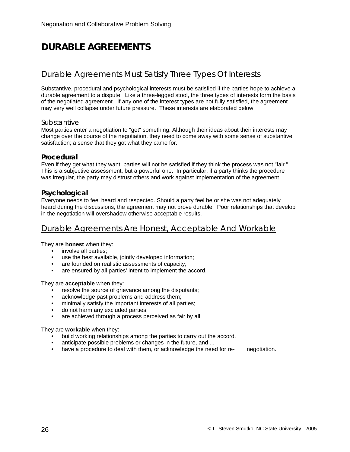# **DURABLE AGREEMENTS**

#### Durable Agreements Must Satisfy Three Types Of Interests

Substantive, procedural and psychological interests must be satisfied if the parties hope to achieve a durable agreement to a dispute. Like a three-legged stool, the three types of interests form the basis of the negotiated agreement. If any one of the interest types are not fully satisfied, the agreement may very well collapse under future pressure. These interests are elaborated below.

#### **Substantive**

Most parties enter a negotiation to "get" something. Although their ideas about their interests may change over the course of the negotiation, they need to come away with some sense of substantive satisfaction; a sense that they got what they came for.

#### **Procedural**

Even if they get what they want, parties will not be satisfied if they think the process was not "fair." This is a subjective assessment, but a powerful one. In particular, if a party thinks the procedure was irregular, the party may distrust others and work against implementation of the agreement.

#### **Psychological**

Everyone needs to feel heard and respected. Should a party feel he or she was not adequately heard during the discussions, the agreement may not prove durable. Poor relationships that develop in the negotiation will overshadow otherwise acceptable results.

#### Durable Agreements Are Honest, Acceptable And Workable

They are **honest** when they:

- involve all parties;
- use the best available, jointly developed information;
- are founded on realistic assessments of capacity;
- are ensured by all parties' intent to implement the accord.

They are **acceptable** when they:

- resolve the source of grievance among the disputants;
- acknowledge past problems and address them;
- minimally satisfy the important interests of all parties;
- do not harm any excluded parties;
- are achieved through a process perceived as fair by all.

They are **workable** when they:

- build working relationships among the parties to carry out the accord.
- anticipate possible problems or changes in the future, and ...
- have a procedure to deal with them, or acknowledge the need for re- negotiation.